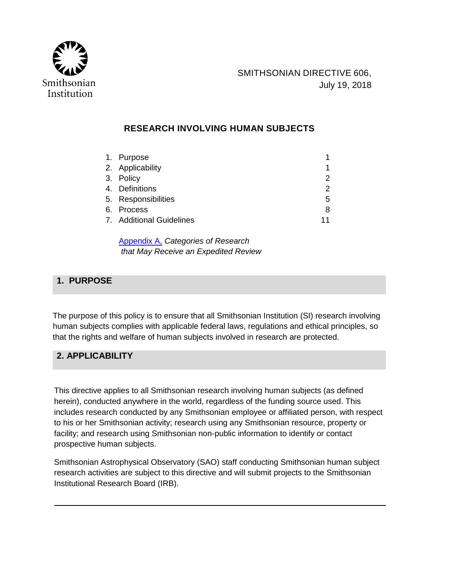

# **RESEARCH INVOLVING HUMAN SUBJECTS**

| 1. Purpose               | 1  |
|--------------------------|----|
| 2. Applicability         | 1  |
| 3. Policy                | 2  |
| 4. Definitions           | 2  |
| 5. Responsibilities      | 5  |
| 6. Process               | 8  |
| 7. Additional Guidelines | 11 |

[Appendix A,](http://prism2.si.edu/SIOrganization/OCFO/OPMB/SD/SD606-AppA.pdf) *Categories of Research that May Receive an Expedited Review*

# **1. PURPOSE**

The purpose of this policy is to ensure that all Smithsonian Institution (SI) research involving human subjects complies with applicable federal laws, regulations and ethical principles, so that the rights and welfare of human subjects involved in research are protected.

# **2. APPLICABILITY**

This directive applies to all Smithsonian research involving human subjects (as defined herein), conducted anywhere in the world, regardless of the funding source used. This includes research conducted by any Smithsonian employee or affiliated person, with respect to his or her Smithsonian activity; research using any Smithsonian resource, property or facility; and research using Smithsonian non-public information to identify or contact prospective human subjects.

Smithsonian Astrophysical Observatory (SAO) staff conducting Smithsonian human subject research activities are subject to this directive and will submit projects to the Smithsonian Institutional Research Board (IRB).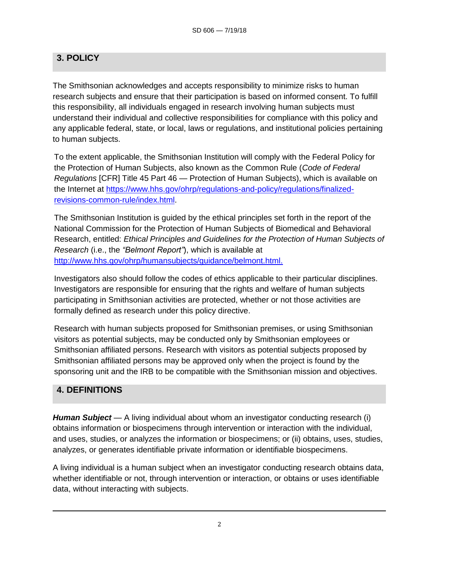# **3. POLICY**

The Smithsonian acknowledges and accepts responsibility to minimize risks to human research subjects and ensure that their participation is based on informed consent. To fulfill this responsibility, all individuals engaged in research involving human subjects must understand their individual and collective responsibilities for compliance with this policy and any applicable federal, state, or local, laws or regulations, and institutional policies pertaining to human subjects.

To the extent applicable, the Smithsonian Institution will comply with the Federal Policy for the Protection of Human Subjects, also known as the Common Rule (*Code of Federal Regulations* [CFR] Title 45 Part 46 — Protection of Human Subjects), which is available on the Internet at [https://www.hhs.gov/ohrp/regulations-and-policy/regulations/finalized](https://www.hhs.gov/ohrp/regulations-and-policy/regulations/finalized-revisions-common-rule/index.html)[revisions-common-rule/index.html.](https://www.hhs.gov/ohrp/regulations-and-policy/regulations/finalized-revisions-common-rule/index.html)

The Smithsonian Institution is guided by the ethical principles set forth in the report of the National Commission for the Protection of Human Subjects of Biomedical and Behavioral Research, entitled: *Ethical Principles and Guidelines for the Protection of Human Subjects of Research* (i.e., the *"Belmont Report"*), which is available at [http://www.hhs.gov/ohrp/humansubjects/guidance/belmont.html.](http://www.hhs.gov/ohrp/humansubjects/guidance/belmont.html)

Investigators also should follow the codes of ethics applicable to their particular disciplines. Investigators are responsible for ensuring that the rights and welfare of human subjects participating in Smithsonian activities are protected, whether or not those activities are formally defined as research under this policy directive.

Research with human subjects proposed for Smithsonian premises, or using Smithsonian visitors as potential subjects, may be conducted only by Smithsonian employees or Smithsonian affiliated persons. Research with visitors as potential subjects proposed by Smithsonian affiliated persons may be approved only when the project is found by the sponsoring unit and the IRB to be compatible with the Smithsonian mission and objectives.

### **4. DEFINITIONS**

*Human Subject* — A living individual about whom an investigator conducting research (i) obtains information or biospecimens through intervention or interaction with the individual, and uses, studies, or analyzes the information or biospecimens; or (ii) obtains, uses, studies, analyzes, or generates identifiable private information or identifiable biospecimens.

A living individual is a human subject when an investigator conducting research obtains data, whether identifiable or not, through intervention or interaction, or obtains or uses identifiable data, without interacting with subjects.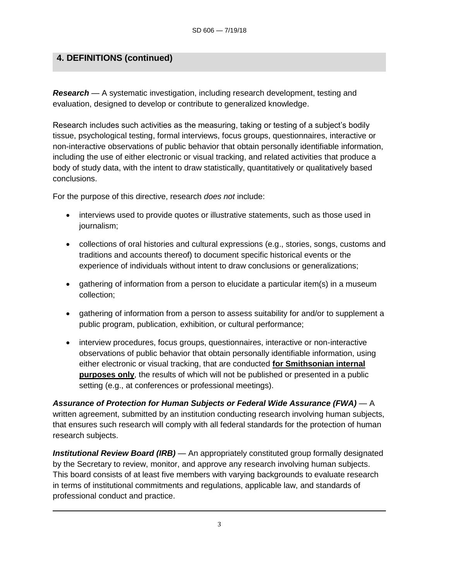## **4. DEFINITIONS (continued)**

*Research* — A systematic investigation, including research development, testing and evaluation, designed to develop or contribute to generalized knowledge.

Research includes such activities as the measuring, taking or testing of a subject's bodily tissue, psychological testing, formal interviews, focus groups, questionnaires, interactive or non-interactive observations of public behavior that obtain personally identifiable information, including the use of either electronic or visual tracking, and related activities that produce a body of study data, with the intent to draw statistically, quantitatively or qualitatively based conclusions.

For the purpose of this directive, research *does not* include:

- interviews used to provide quotes or illustrative statements, such as those used in journalism;
- collections of oral histories and cultural expressions (e.g., stories, songs, customs and traditions and accounts thereof) to document specific historical events or the experience of individuals without intent to draw conclusions or generalizations;
- gathering of information from a person to elucidate a particular item(s) in a museum collection;
- gathering of information from a person to assess suitability for and/or to supplement a public program, publication, exhibition, or cultural performance;
- interview procedures, focus groups, questionnaires, interactive or non-interactive observations of public behavior that obtain personally identifiable information, using either electronic or visual tracking, that are conducted **for Smithsonian internal purposes only**, the results of which will not be published or presented in a public setting (e.g., at conferences or professional meetings).

*Assurance of Protection for Human Subjects or Federal Wide Assurance (FWA)* — A written agreement, submitted by an institution conducting research involving human subjects, that ensures such research will comply with all federal standards for the protection of human research subjects.

*Institutional Review Board (IRB)* — An appropriately constituted group formally designated by the Secretary to review, monitor, and approve any research involving human subjects. This board consists of at least five members with varying backgrounds to evaluate research in terms of institutional commitments and regulations, applicable law, and standards of professional conduct and practice.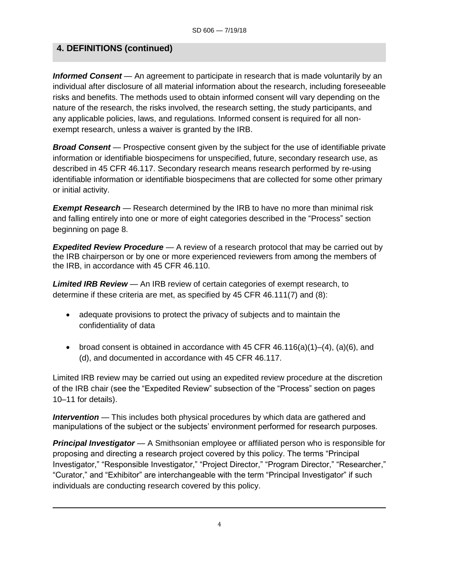## **4. DEFINITIONS (continued)**

**Informed Consent** — An agreement to participate in research that is made voluntarily by an individual after disclosure of all material information about the research, including foreseeable risks and benefits. The methods used to obtain informed consent will vary depending on the nature of the research, the risks involved, the research setting, the study participants, and any applicable policies, laws, and regulations. Informed consent is required for all nonexempt research, unless a waiver is granted by the IRB.

**Broad Consent** — Prospective consent given by the subject for the use of identifiable private information or identifiable biospecimens for unspecified, future, secondary research use, as described in 45 CFR 46.117. Secondary research means research performed by re-using identifiable information or identifiable biospecimens that are collected for some other primary or initial activity.

**Exempt Research** — Research determined by the IRB to have no more than minimal risk and falling entirely into one or more of eight categories described in the "Process" section beginning on page 8.

*Expedited Review Procedure* — A review of a research protocol that may be carried out by the IRB chairperson or by one or more experienced reviewers from among the members of the IRB, in accordance with 45 CFR 46.110.

*Limited IRB Review* — An IRB review of certain categories of exempt research, to determine if these criteria are met, as specified by 45 CFR 46.111(7) and (8):

- adequate provisions to protect the privacy of subjects and to maintain the confidentiality of data
- broad consent is obtained in accordance with 45 CFR  $46.116(a)(1)–(4)$ ,  $(a)(6)$ , and (d), and documented in accordance with 45 CFR 46.117.

Limited IRB review may be carried out using an expedited review procedure at the discretion of the IRB chair (see the "Expedited Review" subsection of the "Process" section on pages 10–11 for details).

**Intervention** — This includes both physical procedures by which data are gathered and manipulations of the subject or the subjects' environment performed for research purposes.

*Principal Investigator* — A Smithsonian employee or affiliated person who is responsible for proposing and directing a research project covered by this policy. The terms "Principal Investigator," "Responsible Investigator," "Project Director," "Program Director," "Researcher," "Curator," and "Exhibitor" are interchangeable with the term "Principal Investigator" if such individuals are conducting research covered by this policy.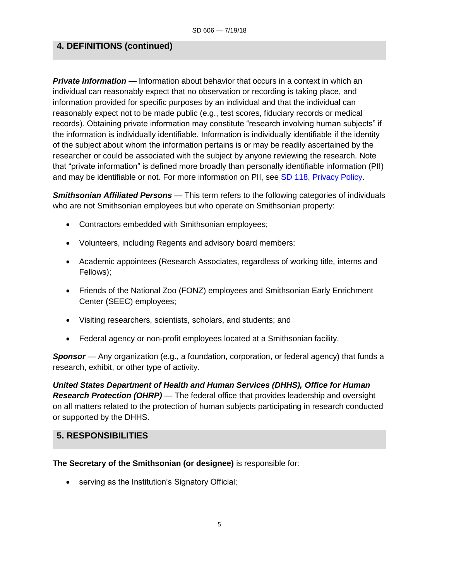### **4. DEFINITIONS (continued)**

*Private Information* — Information about behavior that occurs in a context in which an individual can reasonably expect that no observation or recording is taking place, and information provided for specific purposes by an individual and that the individual can reasonably expect not to be made public (e.g., test scores, fiduciary records or medical records). Obtaining private information may constitute "research involving human subjects" if the information is individually identifiable. Information is individually identifiable if the identity of the subject about whom the information pertains is or may be readily ascertained by the researcher or could be associated with the subject by anyone reviewing the research. Note that "private information" is defined more broadly than personally identifiable information (PII) and may be identifiable or not. For more information on PII, see [SD 118, Privacy Policy.](http://prism2.si.edu/SIOrganization/OCFO/OPMB/SD/SD118.pdf)

*Smithsonian Affiliated Persons* — This term refers to the following categories of individuals who are not Smithsonian employees but who operate on Smithsonian property:

- Contractors embedded with Smithsonian employees;
- Volunteers, including Regents and advisory board members;
- Academic appointees (Research Associates, regardless of working title, interns and Fellows);
- Friends of the National Zoo (FONZ) employees and Smithsonian Early Enrichment Center (SEEC) employees;
- Visiting researchers, scientists, scholars, and students; and
- Federal agency or non-profit employees located at a Smithsonian facility.

**Sponsor** — Any organization (e.g., a foundation, corporation, or federal agency) that funds a research, exhibit, or other type of activity.

*United States Department of Health and Human Services (DHHS), Office for Human Research Protection (OHRP)* — The federal office that provides leadership and oversight on all matters related to the protection of human subjects participating in research conducted or supported by the DHHS.

#### **5. RESPONSIBILITIES**

#### **The Secretary of the Smithsonian (or designee)** is responsible for:

• serving as the Institution's Signatory Official;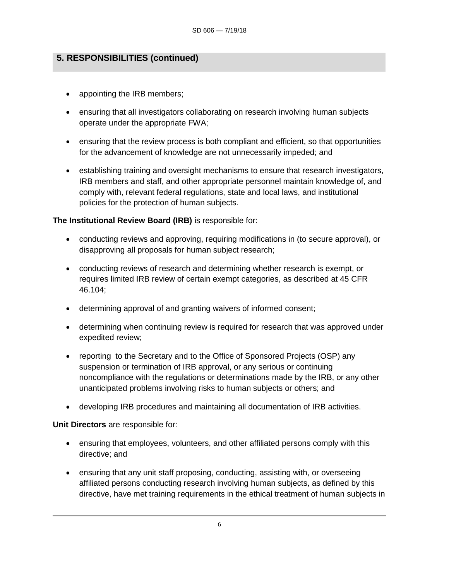# **5. RESPONSIBILITIES (continued)**

- appointing the IRB members;
- ensuring that all investigators collaborating on research involving human subjects operate under the appropriate FWA;
- ensuring that the review process is both compliant and efficient, so that opportunities for the advancement of knowledge are not unnecessarily impeded; and
- establishing training and oversight mechanisms to ensure that research investigators, IRB members and staff, and other appropriate personnel maintain knowledge of, and comply with, relevant federal regulations, state and local laws, and institutional policies for the protection of human subjects.

### **The Institutional Review Board (IRB)** is responsible for:

- conducting reviews and approving, requiring modifications in (to secure approval), or disapproving all proposals for human subject research;
- conducting reviews of research and determining whether research is exempt, or requires limited IRB review of certain exempt categories, as described at 45 CFR 46.104;
- determining approval of and granting waivers of informed consent;
- determining when continuing review is required for research that was approved under expedited review;
- reporting to the Secretary and to the Office of Sponsored Projects (OSP) any suspension or termination of IRB approval, or any serious or continuing noncompliance with the regulations or determinations made by the IRB, or any other unanticipated problems involving risks to human subjects or others; and
- developing IRB procedures and maintaining all documentation of IRB activities.

### **Unit Directors** are responsible for:

- ensuring that employees, volunteers, and other affiliated persons comply with this directive; and
- ensuring that any unit staff proposing, conducting, assisting with, or overseeing affiliated persons conducting research involving human subjects, as defined by this directive, have met training requirements in the ethical treatment of human subjects in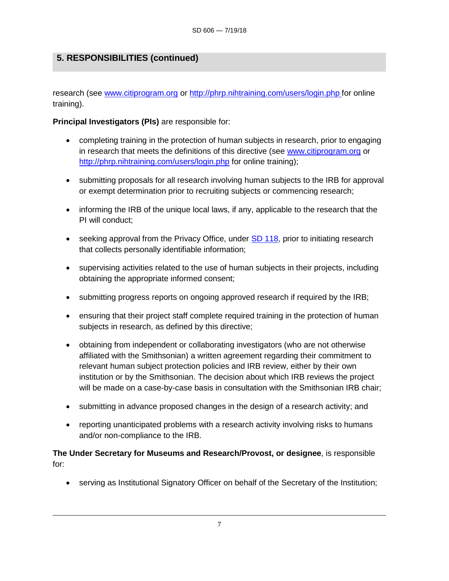# **5. RESPONSIBILITIES (continued)**

research (see [www.citiprogram.org](http://www.citiprogram.org/) or<http://phrp.nihtraining.com/users/login.php> for online training).

**Principal Investigators (PIs)** are responsible for:

- completing training in the protection of human subjects in research, prior to engaging in research that meets the definitions of this directive (see [www.citiprogram.org](http://www.citiprogram.org/) or <http://phrp.nihtraining.com/users/login.php> for online training);
- submitting proposals for all research involving human subjects to the IRB for approval or exempt determination prior to recruiting subjects or commencing research;
- informing the IRB of the unique local laws, if any, applicable to the research that the PI will conduct;
- seeking approval from the Privacy Office, under [SD 118,](http://prism2.si.edu/SIOrganization/OCFO/OPMB/SD/SD118.pdf) prior to initiating research that collects personally identifiable information;
- supervising activities related to the use of human subjects in their projects, including obtaining the appropriate informed consent;
- submitting progress reports on ongoing approved research if required by the IRB;
- ensuring that their project staff complete required training in the protection of human subjects in research, as defined by this directive;
- obtaining from independent or collaborating investigators (who are not otherwise affiliated with the Smithsonian) a written agreement regarding their commitment to relevant human subject protection policies and IRB review, either by their own institution or by the Smithsonian. The decision about which IRB reviews the project will be made on a case-by-case basis in consultation with the Smithsonian IRB chair;
- submitting in advance proposed changes in the design of a research activity; and
- reporting unanticipated problems with a research activity involving risks to humans and/or non-compliance to the IRB.

**The Under Secretary for Museums and Research/Provost, or designee**, is responsible for:

• serving as Institutional Signatory Officer on behalf of the Secretary of the Institution;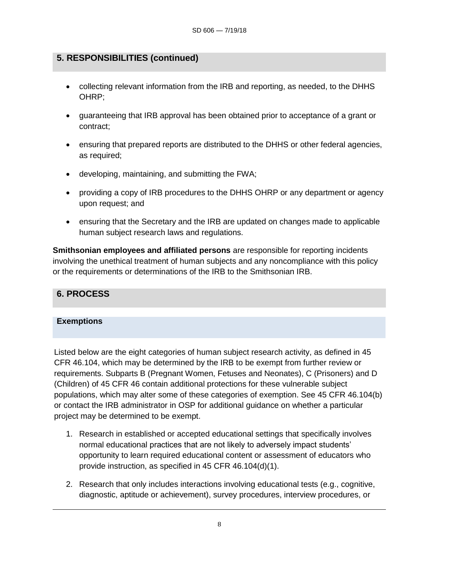## **5. RESPONSIBILITIES (continued)**

- collecting relevant information from the IRB and reporting, as needed, to the DHHS OHRP;
- guaranteeing that IRB approval has been obtained prior to acceptance of a grant or contract;
- ensuring that prepared reports are distributed to the DHHS or other federal agencies, as required;
- developing, maintaining, and submitting the FWA;
- providing a copy of IRB procedures to the DHHS OHRP or any department or agency upon request; and
- ensuring that the Secretary and the IRB are updated on changes made to applicable human subject research laws and regulations.

**Smithsonian employees and affiliated persons** are responsible for reporting incidents involving the unethical treatment of human subjects and any noncompliance with this policy or the requirements or determinations of the IRB to the Smithsonian IRB.

### **6. PROCESS**

#### **Exemptions**

Listed below are the eight categories of human subject research activity, as defined in 45 CFR 46.104, which may be determined by the IRB to be exempt from further review or requirements. Subparts B (Pregnant Women, Fetuses and Neonates), C (Prisoners) and D (Children) of 45 CFR 46 contain additional protections for these vulnerable subject populations, which may alter some of these categories of exemption. See 45 CFR 46.104(b) or contact the IRB administrator in OSP for additional guidance on whether a particular project may be determined to be exempt.

- 1. Research in established or accepted educational settings that specifically involves normal educational practices that are not likely to adversely impact students' opportunity to learn required educational content or assessment of educators who provide instruction, as specified in 45 CFR 46.104(d)(1).
- 2. Research that only includes interactions involving educational tests (e.g., cognitive, diagnostic, aptitude or achievement), survey procedures, interview procedures, or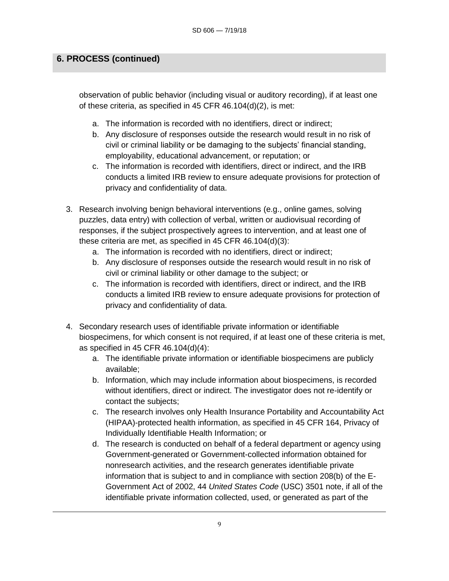## **6. PROCESS (continued)**

observation of public behavior (including visual or auditory recording), if at least one of these criteria, as specified in 45 CFR 46.104(d)(2), is met:

- a. The information is recorded with no identifiers, direct or indirect;
- b. Any disclosure of responses outside the research would result in no risk of civil or criminal liability or be damaging to the subjects' financial standing, employability, educational advancement, or reputation; or
- c. The information is recorded with identifiers, direct or indirect, and the IRB conducts a limited IRB review to ensure adequate provisions for protection of privacy and confidentiality of data.
- 3. Research involving benign behavioral interventions (e.g., online games, solving puzzles, data entry) with collection of verbal, written or audiovisual recording of responses, if the subject prospectively agrees to intervention, and at least one of these criteria are met, as specified in 45 CFR 46.104(d)(3):
	- a. The information is recorded with no identifiers, direct or indirect;
	- b. Any disclosure of responses outside the research would result in no risk of civil or criminal liability or other damage to the subject; or
	- c. The information is recorded with identifiers, direct or indirect, and the IRB conducts a limited IRB review to ensure adequate provisions for protection of privacy and confidentiality of data.
- 4. Secondary research uses of identifiable private information or identifiable biospecimens, for which consent is not required, if at least one of these criteria is met, as specified in 45 CFR 46.104(d)(4):
	- a. The identifiable private information or identifiable biospecimens are publicly available;
	- b. Information, which may include information about biospecimens, is recorded without identifiers, direct or indirect. The investigator does not re-identify or contact the subjects;
	- c. The research involves only Health Insurance Portability and Accountability Act (HIPAA)-protected health information, as specified in 45 CFR 164, Privacy of Individually Identifiable Health Information; or
	- d. The research is conducted on behalf of a federal department or agency using Government-generated or Government-collected information obtained for nonresearch activities, and the research generates identifiable private information that is subject to and in compliance with section 208(b) of the E-Government Act of 2002, 44 *United States Code* (USC) 3501 note, if all of the identifiable private information collected, used, or generated as part of the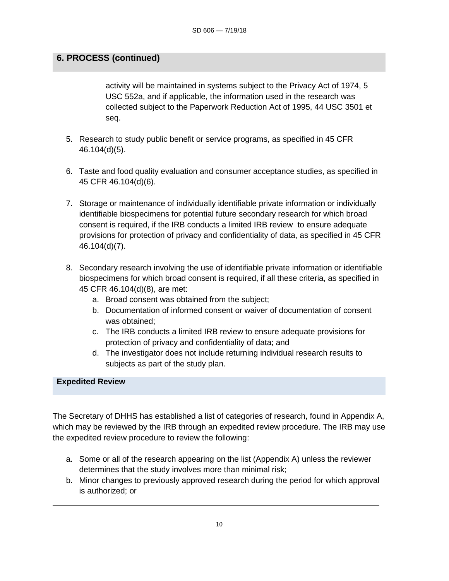## **6. PROCESS (continued)**

activity will be maintained in systems subject to the Privacy Act of 1974, 5 USC 552a, and if applicable, the information used in the research was collected subject to the Paperwork Reduction Act of 1995, 44 USC 3501 et seq.

- 5. Research to study public benefit or service programs, as specified in 45 CFR 46.104(d)(5).
- 6. Taste and food quality evaluation and consumer acceptance studies, as specified in 45 CFR 46.104(d)(6).
- 7. Storage or maintenance of individually identifiable private information or individually identifiable biospecimens for potential future secondary research for which broad consent is required, if the IRB conducts a limited IRB review to ensure adequate provisions for protection of privacy and confidentiality of data, as specified in 45 CFR 46.104(d)(7).
- 8. Secondary research involving the use of identifiable private information or identifiable biospecimens for which broad consent is required, if all these criteria, as specified in 45 CFR 46.104(d)(8), are met:
	- a. Broad consent was obtained from the subject;
	- b. Documentation of informed consent or waiver of documentation of consent was obtained;
	- c. The IRB conducts a limited IRB review to ensure adequate provisions for protection of privacy and confidentiality of data; and
	- d. The investigator does not include returning individual research results to subjects as part of the study plan.

#### **Expedited Review**

The Secretary of DHHS has established a list of categories of research, found in Appendix A, which may be reviewed by the IRB through an expedited review procedure. The IRB may use the expedited review procedure to review the following:

- a. Some or all of the research appearing on the list (Appendix A) unless the reviewer determines that the study involves more than minimal risk;
- b. Minor changes to previously approved research during the period for which approval is authorized; or